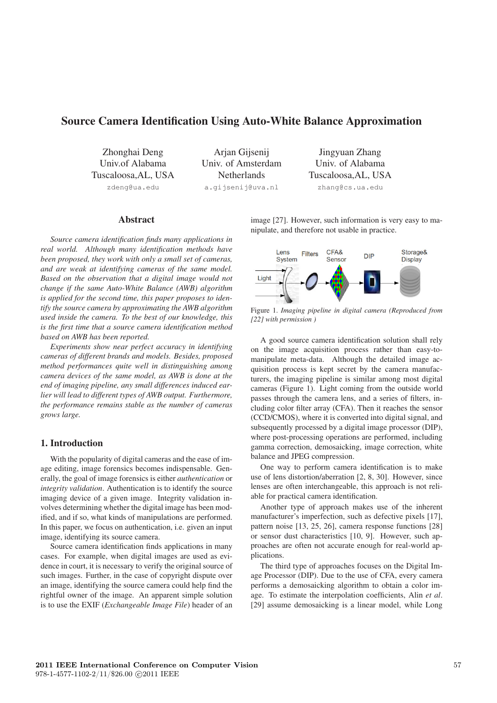# **Source Camera Identification Using Auto-White Balance Approximation**

Zhonghai Deng Univ.of Alabama Tuscaloosa,AL, USA zdeng@ua.edu

Arjan Gijsenij Univ. of Amsterdam Netherlands a.gijsenij@uva.nl

Jingyuan Zhang Univ. of Alabama Tuscaloosa,AL, USA zhang@cs.ua.edu

## **Abstract**

*Source camera identification finds many applications in real world. Although many identification methods have been proposed, they work with only a small set of cameras, and are weak at identifying cameras of the same model. Based on the observation that a digital image would not change if the same Auto-White Balance (AWB) algorithm is applied for the second time, this paper proposes to identify the source camera by approximating the AWB algorithm used inside the camera. To the best of our knowledge, this is the first time that a source camera identification method based on AWB has been reported.*

*Experiments show near perfect accuracy in identifying cameras of different brands and models. Besides, proposed method performances quite well in distinguishing among camera devices of the same model, as AWB is done at the end of imaging pipeline, any small differences induced earlier will lead to different types of AWB output. Furthermore, the performance remains stable as the number of cameras grows large.*

# **1. Introduction**

With the popularity of digital cameras and the ease of image editing, image forensics becomes indispensable. Generally, the goal of image forensics is either *authentication* or *integrity validation*. Authentication is to identify the source imaging device of a given image. Integrity validation involves determining whether the digital image has been modified, and if so, what kinds of manipulations are performed. In this paper, we focus on authentication, i.e. given an inpu t image, identifying its source camera.

Source camera identification finds applications in many cases. For example, when digital images are used as evidence in court, it is necessary to verify the original source of such images. Further, in the case of copyright dispute over an image, identifying the source camera could help find the rightful owner of the image. An apparent simple solution is to use the EXIF (*Exchangeable Image File*) header of an

image [27]. However, such information is very easy to manipulate, and therefore not usable in practice.



Figure 1. *Imaging pipeline in digital camera (Reproduced from [22] with permission )*

A good source camera identification solution shall rely on the image acquisition process rather than easy-tomanipulate meta-data. Although the detailed image acquisition process is kept secret by the camera manufacturers, the imaging pipeline is similar among most digital cameras (Figure 1). Light coming from the outside world passes through the camera lens, and a series of filters, including color filter array (CFA). Then it reaches the sensor (CCD/CMOS), where it is converted into digital signal, and subsequently processed by a digital image processor (DIP), where post-processing operations are performed, includin g gamma correction, demosaicking, image correction, white balance and JPEG compression.

One way to perform camera identification is to make use of lens distortion/aberration [2, 8, 30]. However, sinc e lenses are often interchangeable, this approach is not reli able for practical camera identification.

Another type of approach makes use of the inherent manufacturer's imperfection, such as defective pixels [17], pattern noise [13, 25, 26], camera response functions [28] or sensor dust characteristics [10, 9]. However, such approaches are often not accurate enough for real-world applications.

The third type of approaches focuses on the Digital Image Processor (DIP). Due to the use of CFA, every camera performs a demosaicking algorithm to obtain a color image. To estimate the interpolation coefficients, Alin *et al*. [29] assume demosaicking is a linear model, while Long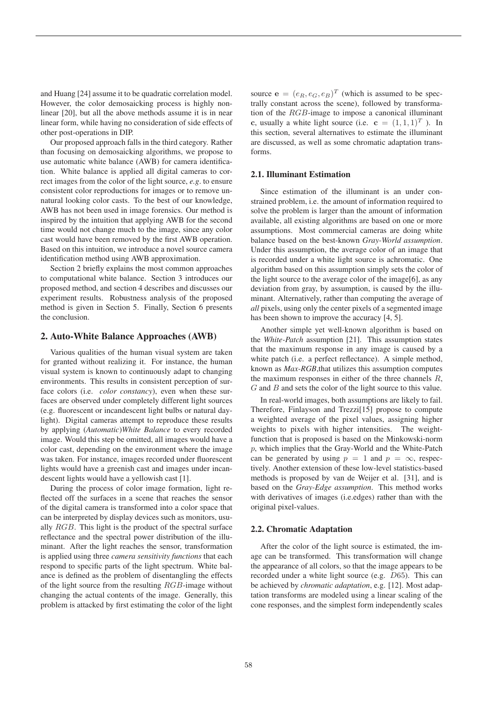and Huang [24] assume it to be quadratic correlation model. However, the color demosaicking process is highly nonlinear [20], but all the above methods assume it is in near linear form, while having no consideration of side effects of other post-operations in DIP.

Our proposed approach falls in the third category. Rather than focusing on demosaicking algorithms, we propose to use automatic white balance (AWB) for camera identification. White balance is applied all digital cameras to correct images from the color of the light source, *e.g*. to ensure consistent color reproductions for images or to remove unnatural looking color casts. To the best of our knowledge, AWB has not been used in image forensics. Our method is inspired by the intuition that applying AWB for the second time would not change much to the image, since any color cast would have been removed by the first AWB operation. Based on this intuition, we introduce a novel source camera identification method using AWB approximation.

Section 2 briefly explains the most common approaches to computational white balance. Section 3 introduces our proposed method, and section 4 describes and discusses our experiment results. Robustness analysis of the proposed method is given in Section 5. Finally, Section 6 presents the conclusion.

### **2. Auto-White Balance Approaches (AWB)**

Various qualities of the human visual system are taken for granted without realizing it. For instance, the human visual system is known to continuously adapt to changing environments. This results in consistent perception of surface colors (i.e. *color constancy*), even when these surfaces are observed under completely different light sources (e.g. fluorescent or incandescent light bulbs or natural daylight). Digital cameras attempt to reproduce these results by applying (*Automatic*)*White Balance* to every recorded image. Would this step be omitted, all images would have a color cast, depending on the environment where the image was taken. For instance, images recorded under fluorescent lights would have a greenish cast and images under incandescent lights would have a yellowish cast [1].

During the process of color image formation, light reflected off the surfaces in a scene that reaches the sensor of the digital camera is transformed into a color space that can be interpreted by display devices such as monitors, usually RGB. This light is the product of the spectral surface reflectance and the spectral power distribution of the illuminant. After the light reaches the sensor, transformation is applied using three *camera sensitivity functions* that each respond to specific parts of the light spectrum. White balance is defined as the problem of disentangling the effects of the light source from the resulting RGB-image without changing the actual contents of the image. Generally, this problem is attacked by first estimating the color of the light

source  $\mathbf{e} = (e_R, e_G, e_B)^T$  (which is assumed to be spectrally constant across the scene), followed by transformation of the RGB-image to impose a canonical illuminant c, usually a white light source (i.e.  $\mathbf{c} = (1, 1, 1)^T$ ). In this section, several alternatives to estimate the illuminant are discussed, as well as some chromatic adaptation transforms.

### **2.1. Illuminant Estimation**

Since estimation of the illuminant is an under constrained problem, i.e. the amount of information required to solve the problem is larger than the amount of information available, all existing algorithms are based on one or more assumptions. Most commercial cameras are doing white balance based on the best-known *Gray-World assumption*. Under this assumption, the average color of an image that is recorded under a white light source is achromatic. One algorithm based on this assumption simply sets the color of the light source to the average color of the image[6], as any deviation from gray, by assumption, is caused by the illuminant. Alternatively, rather than computing the average of *all* pixels, using only the center pixels of a segmented image has been shown to improve the accuracy [4, 5].

Another simple yet well-known algorithm is based on the *White-Patch* assumption [21]. This assumption states that the maximum response in any image is caused by a white patch (i.e. a perfect reflectance). A simple method, known as *Max-RGB*,that utilizes this assumption computes the maximum responses in either of the three channels  $R$ , G and B and sets the color of the light source to this value.

In real-world images, both assumptions are likely to fail. Therefore, Finlayson and Trezzi[15] propose to compute a weighted average of the pixel values, assigning higher weights to pixels with higher intensities. The weightfunction that is proposed is based on the Minkowski-norm p, which implies that the Gray-World and the White-Patch can be generated by using  $p = 1$  and  $p = \infty$ , respectively. Another extension of these low-level statistics-based methods is proposed by van de Weijer et al. [31], and is based on the *Gray-Edge assumption*. This method works with derivatives of images (i.e.edges) rather than with the original pixel-values.

#### **2.2. Chromatic Adaptation**

After the color of the light source is estimated, the image can be transformed. This transformation will change the appearance of all colors, so that the image appears to be recorded under a white light source (e.g. D65). This can be achieved by *chromatic adaptation*, e.g. [12]. Most adaptation transforms are modeled using a linear scaling of the cone responses, and the simplest form independently scales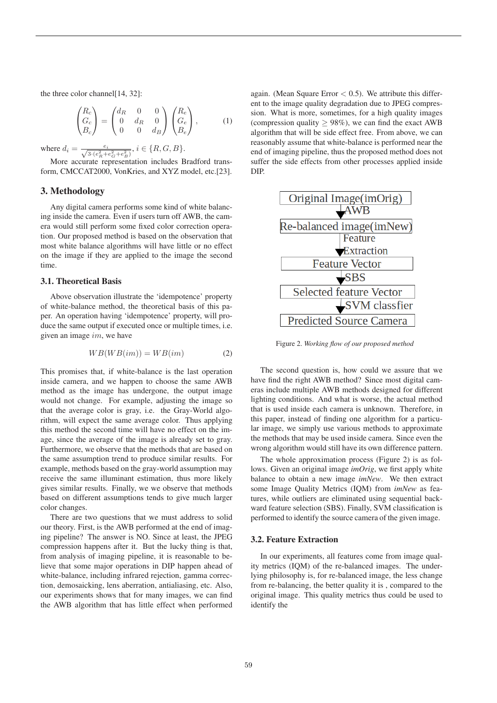the three color channel[14, 32]:

$$
\begin{pmatrix} R_c \\ G_c \\ B_c \end{pmatrix} = \begin{pmatrix} d_R & 0 & 0 \\ 0 & d_R & 0 \\ 0 & 0 & d_B \end{pmatrix} \begin{pmatrix} R_e \\ G_e \\ B_e \end{pmatrix}, \tag{1}
$$

where  $d_i = \frac{e_i}{\sqrt{3 \cdot (e_R^2 + e_G^2 + e_B^2)}}$ ,  $i \in \{R, G, B\}$ .

More accurate representation includes Bradford transform, CMCCAT2000, VonKries, and XYZ model, etc.[23].

#### **3. Methodology**

Any digital camera performs some kind of white balancing inside the camera. Even if users turn off AWB, the camera would still perform some fixed color correction operation. Our proposed method is based on the observation that most white balance algorithms will have little or no effect on the image if they are applied to the image the second time.

### **3.1. Theoretical Basis**

Above observation illustrate the 'idempotence' property of white-balance method, the theoretical basis of this paper. An operation having 'idempotence' property, will produce the same output if executed once or multiple times, i.e. given an image  $im$ , we have

$$
WB(WB(im)) = WB(im)
$$
 (2)

This promises that, if white-balance is the last operation inside camera, and we happen to choose the same AWB method as the image has undergone, the output image would not change. For example, adjusting the image so that the average color is gray, i.e. the Gray-World algorithm, will expect the same average color. Thus applying this method the second time will have no effect on the image, since the average of the image is already set to gray. Furthermore, we observe that the methods that are based on the same assumption trend to produce similar results. For example, methods based on the gray-world assumption may receive the same illuminant estimation, thus more likely gives similar results. Finally, we we observe that methods based on different assumptions tends to give much larger color changes.

There are two questions that we must address to solid our theory. First, is the AWB performed at the end of imaging pipeline? The answer is NO. Since at least, the JPEG compression happens after it. But the lucky thing is that, from analysis of imaging pipeline, it is reasonable to believe that some major operations in DIP happen ahead of white-balance, including infrared rejection, gamma correction, demosaicking, lens aberration, antialiasing, etc. Also, our experiments shows that for many images, we can find the AWB algorithm that has little effect when performed

again. (Mean Square Error  $< 0.5$ ). We attribute this different to the image quality degradation due to JPEG compression. What is more, sometimes, for a high quality images (compression quality  $\geq 98\%$ ), we can find the exact AWB algorithm that will be side effect free. From above, we can reasonably assume that white-balance is performed near the end of imaging pipeline, thus the proposed method does not suffer the side effects from other processes applied inside DIP.



Figure 2. *Working flow of our proposed method*

The second question is, how could we assure that we have find the right AWB method? Since most digital cameras include multiple AWB methods designed for different lighting conditions. And what is worse, the actual method that is used inside each camera is unknown. Therefore, in this paper, instead of finding one algorithm for a particular image, we simply use various methods to approximate the methods that may be used inside camera. Since even the wrong algorithm would still have its own difference pattern.

The whole approximation process (Figure 2) is as follows. Given an original image *imOrig*, we first apply white balance to obtain a new image *imNew*. We then extract some Image Quality Metrics (IQM) from *imNew* as features, while outliers are eliminated using sequential backward feature selection (SBS). Finally, SVM classification is performed to identify the source camera of the given image.

### **3.2. Feature Extraction**

In our experiments, all features come from image quality metrics (IQM) of the re-balanced images. The underlying philosophy is, for re-balanced image, the less change from re-balancing, the better quality it is , compared to the original image. This quality metrics thus could be used to identify the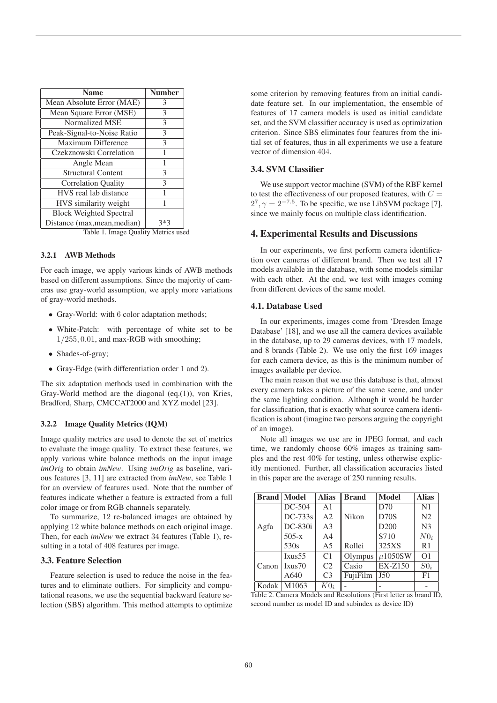| <b>Name</b>                    | <b>Number</b> |
|--------------------------------|---------------|
| Mean Absolute Error (MAE)      | 3             |
| Mean Square Error (MSE)        | 3             |
| Normalized MSE                 | 3             |
| Peak-Signal-to-Noise Ratio     | 3             |
| Maximum Difference             | 3             |
| Czekznowski Correlation        |               |
| Angle Mean                     |               |
| <b>Structural Content</b>      | 3             |
| <b>Correlation Quality</b>     | 3             |
| HVS real lab distance          |               |
| HVS similarity weight          |               |
| <b>Block Weighted Spectral</b> |               |
| Distance (max, mean, median)   | $3*3$         |

Table 1. Image Quality Metrics used

#### **3.2.1 AWB Methods**

For each image, we apply various kinds of AWB methods based on different assumptions. Since the majority of cameras use gray-world assumption, we apply more variations of gray-world methods.

- Gray-World: with 6 color adaptation methods;
- White-Patch: with percentage of white set to be 1/255, 0.01, and max-RGB with smoothing;
- Shades-of-gray;
- Gray-Edge (with differentiation order 1 and 2).

The six adaptation methods used in combination with the Gray-World method are the diagonal (eq.(1)), von Kries, Bradford, Sharp, CMCCAT2000 and XYZ model [23].

# **3.2.2 Image Quality Metrics (IQM)**

Image quality metrics are used to denote the set of metrics to evaluate the image quality. To extract these features, we apply various white balance methods on the input image *imOrig* to obtain *imNew*. Using *imOrig* as baseline, various features [3, 11] are extracted from *imNew*, see Table 1 for an overview of features used. Note that the number of features indicate whether a feature is extracted from a full color image or from RGB channels separately.

To summarize, 12 re-balanced images are obtained by applying 12 white balance methods on each original image. Then, for each *imNew* we extract 34 features (Table 1), resulting in a total of 408 features per image.

### **3.3. Feature Selection**

Feature selection is used to reduce the noise in the features and to eliminate outliers. For simplicity and computational reasons, we use the sequential backward feature selection (SBS) algorithm. This method attempts to optimize

some criterion by removing features from an initial candidate feature set. In our implementation, the ensemble of features of 17 camera models is used as initial candidate set, and the SVM classifier accuracy is used as optimization criterion. Since SBS eliminates four features from the initial set of features, thus in all experiments we use a feature vector of dimension 404.

### **3.4. SVM Classifier**

We use support vector machine (SVM) of the RBF kernel to test the effectiveness of our proposed features, with  $C =$  $2^7$ ,  $\gamma = 2^{-7.5}$ . To be specific, we use LibSVM package [7], since we mainly focus on multiple class identification.

# **4. Experimental Results and Discussions**

In our experiments, we first perform camera identification over cameras of different brand. Then we test all 17 models available in the database, with some models similar with each other. At the end, we test with images coming from different devices of the same model.

# **4.1. Database Used**

In our experiments, images come from 'Dresden Image Database' [18], and we use all the camera devices available in the database, up to 29 cameras devices, with 17 models, and 8 brands (Table 2). We use only the first 169 images for each camera device, as this is the minimum number of images available per device.

The main reason that we use this database is that, almost every camera takes a picture of the same scene, and under the same lighting condition. Although it would be harder for classification, that is exactly what source camera identification is about (imagine two persons arguing the copyright of an image).

Note all images we use are in JPEG format, and each time, we randomly choose 60% images as training samples and the rest 40% for testing, unless otherwise explicitly mentioned. Further, all classification accuracies listed in this paper are the average of 250 running results.

|       | <b>Brand   Model</b> | <b>Alias</b>   | <b>Brand</b> | <b>Model</b>     | <b>Alias</b>   |
|-------|----------------------|----------------|--------------|------------------|----------------|
|       | $DC-504$             | A <sub>1</sub> |              | D70              | N <sub>1</sub> |
|       | $DC-733s$            | A <sub>2</sub> | Nikon        | D70S             | N <sub>2</sub> |
| Agfa  | $DC-830i$            | A <sub>3</sub> |              | D <sub>200</sub> | N <sub>3</sub> |
|       | $505 - x$            | A <sub>4</sub> |              | S710             | $N0_i$         |
|       | 530s                 | A <sub>5</sub> | Rollei       | 325XS            | R <sub>1</sub> |
|       | Ixus55               | C <sub>1</sub> | Olympus      | $\mu$ 1050SW     | O <sub>1</sub> |
| Canon | Ixus70               | C <sub>2</sub> | Casio        | $EX-Z150$        | $S_{i}$        |
|       | A640                 | C <sub>3</sub> | FujiFilm     | J50              | F1             |
| Kodak | M1063                | $K0_i$         |              |                  |                |

Table 2. Camera Models and Resolutions (First letter as brand ID, second number as model ID and subindex as device ID)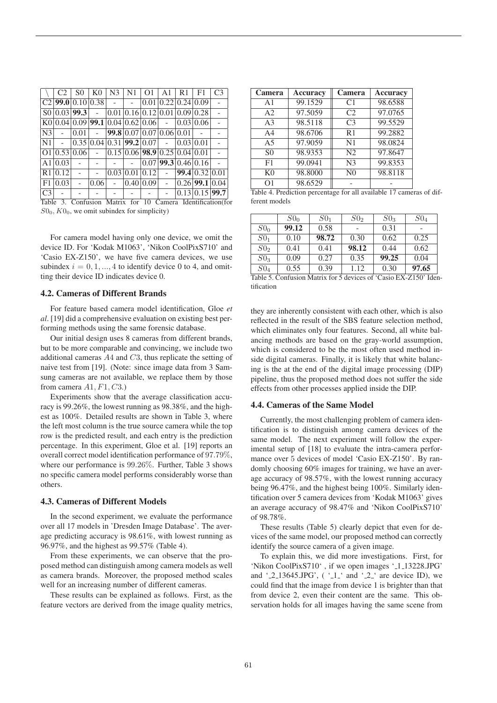|                | C <sub>2</sub>                                                 | S <sub>0</sub> | K <sub>0</sub>                | N <sub>3</sub> | N1     | $\Omega$  | A <sub>1</sub>                                   | R <sub>1</sub> | F1                              | C <sub>3</sub> |
|----------------|----------------------------------------------------------------|----------------|-------------------------------|----------------|--------|-----------|--------------------------------------------------|----------------|---------------------------------|----------------|
|                | $C2$  99.0 0.10 0.38                                           |                |                               | $\sim$ $-$     | $\sim$ |           | $0.01 \mid 0.22 \mid 0.24 \mid 0.09$             |                |                                 |                |
| S <sub>0</sub> | 0.03                                                           | 99.3           | $\sim$                        |                |        |           | $[0.01 \, 0.16 \, 0.12 \, 0.01 \, 0.09 \, 0.28]$ |                |                                 |                |
|                | K0 0.04 0.09 99.1 0.04 0.62 0.06                               |                |                               |                |        |           | Ñe.                                              | 0.03           | 0.06                            |                |
| N <sub>3</sub> |                                                                | 0.01           |                               |                |        |           | 99.8 0.07 0.07 0.06 0.01                         |                |                                 |                |
| N <sub>1</sub> | $\sim$                                                         |                | $0.35 0.04 0.31 $ 99.2   0.07 |                |        |           | $\sim$                                           | 0.03 0.01      |                                 |                |
| O <sub>1</sub> |                                                                | 0.53 0.06      | $\sim$                        |                |        |           | $ 0.15 0.06 $ 98.9 $ 0.25 0.04 0.01$             |                |                                 |                |
| A <sub>1</sub> | 0.03                                                           |                |                               |                |        |           |                                                  |                | [0.07 99.3 0.46 0.16]           |                |
| R <sub>1</sub> | 0.12                                                           |                |                               | 0.03           | 0.01   | 0.12      | $\sim$                                           |                | 99.4 0.32 0.01                  |                |
| F1             | 0.03                                                           |                | 0.06                          |                |        | 0.40 0.09 | $\sim$                                           |                | $0.26$ 99.1 0.04                |                |
| C <sub>3</sub> |                                                                |                |                               |                |        |           |                                                  |                | $0.13 \mid 0.15 \mid 99.7 \mid$ |                |
|                | 3. Confusion Matrix for 10 Camera Identification (for<br>Table |                |                               |                |        |           |                                                  |                |                                 |                |

 $S0_0$ ,  $K0_0$ , we omit subindex for simplicity)

For camera model having only one device, we omit the device ID. For 'Kodak M1063', 'Nikon CoolPixS710' and 'Casio EX-Z150', we have five camera devices, we use subindex  $i = 0, 1, ..., 4$  to identify device 0 to 4, and omitting their device ID indicates device 0.

### **4.2. Cameras of Different Brands**

For feature based camera model identification, Gloe *et al*. [19] did a comprehensive evaluation on existing best performing methods using the same forensic database.

Our initial design uses 8 cameras from different brands, but to be more comparable and convincing, we include two additional cameras A4 and C3, thus replicate the setting of naive test from [19]. (Note: since image data from 3 Samsung cameras are not available, we replace them by those from camera  $A1, F1, C3$ .)

Experiments show that the average classification accuracy is 99.26%, the lowest running as 98.38%, and the highest as 100%. Detailed results are shown in Table 3, where the left most column is the true source camera while the top row is the predicted result, and each entry is the prediction percentage. In this experiment, Gloe et al. [19] reports an overall correct model identification performance of 97.79%, where our performance is 99.26%. Further, Table 3 shows no specific camera model performs considerably worse than others.

### **4.3. Cameras of Different Models**

In the second experiment, we evaluate the performance over all 17 models in 'Dresden Image Database'. The average predicting accuracy is 98.61%, with lowest running as 96.97%, and the highest as 99.57% (Table 4).

From these experiments, we can observe that the proposed method can distinguish among camera models as well as camera brands. Moreover, the proposed method scales well for an increasing number of different cameras.

These results can be explained as follows. First, as the feature vectors are derived from the image quality metrics,

| Camera                                        | Accuracy | Camera           | Accuracy               |
|-----------------------------------------------|----------|------------------|------------------------|
| A <sub>1</sub>                                | 99.1529  | C <sub>1</sub>   | 98.6588                |
| A <sub>2</sub>                                | 97.5059  | C <sub>2</sub>   | 97.0765                |
| A <sub>3</sub>                                | 98.5118  | C <sub>3</sub>   | 99.5529                |
| A <sub>4</sub>                                | 98.6706  | R <sub>1</sub>   | 99.2882                |
| A <sub>5</sub>                                | 97.9059  | N <sub>1</sub>   | 98.0824                |
| S <sub>0</sub>                                | 98.9353  | N <sub>2</sub>   | 97.8647                |
| F1                                            | 99.0941  | N <sub>3</sub>   | 99.8353                |
| K <sub>0</sub>                                | 98.8000  | N <sub>0</sub>   | 98.8118                |
| O <sub>1</sub><br><b>TR</b> 1 1<br>$\sqrt{ }$ | 98.6529  | $\epsilon$<br>11 | 1111<br>$\overline{ }$ |

Table 4. Prediction percentage for all available 17 cameras of different models

|                                                                 | $S_{0_0}$ | $S_{0_1}$ | S0 <sub>2</sub> | $S0_3$ | $S0_4$ |
|-----------------------------------------------------------------|-----------|-----------|-----------------|--------|--------|
| $S0_0$                                                          | 99.12     | 0.58      |                 | 0.31   |        |
| $S_{0_1}$                                                       | 0.10      | 98.72     | 0.30            | 0.62   | 0.25   |
| S0 <sub>2</sub>                                                 | 0.41      | 0.41      | 98.12           | 0.44   | 0.62   |
| $S0_3$                                                          | 0.09      | 0.27      | 0.35            | 99.25  | 0.04   |
| $S0_4$                                                          | 0.55      | 0.39      | 1.12            | 0.30   | 97.65  |
| Table 5. Confusion Matrix for 5 devices of 'Casio FX-7150' Ider |           |           |                 |        |        |

Table 5. Confusion Matrix for 5 devices of 'Casio EX-Z150' Identification

they are inherently consistent with each other, which is also reflected in the result of the SBS feature selection method, which eliminates only four features. Second, all white balancing methods are based on the gray-world assumption, which is considered to be the most often used method inside digital cameras. Finally, it is likely that white balancing is the at the end of the digital image processing (DIP) pipeline, thus the proposed method does not suffer the side effects from other processes applied inside the DIP.

### **4.4. Cameras of the Same Model**

Currently, the most challenging problem of camera identification is to distinguish among camera devices of the same model. The next experiment will follow the experimental setup of [18] to evaluate the intra-camera performance over 5 devices of model 'Casio EX-Z150'. By randomly choosing 60% images for training, we have an average accuracy of 98.57%, with the lowest running accuracy being 96.47%, and the highest being 100%. Similarly identification over 5 camera devices from 'Kodak M1063' gives an average accuracy of 98.47% and 'Nikon CoolPixS710' of 98.78%.

These results (Table 5) clearly depict that even for devices of the same model, our proposed method can correctly identify the source camera of a given image.

To explain this, we did more investigations. First, for 'Nikon CoolPixS710', if we open images '\_1\_13228.JPG' and ' $\text{\textdegree{}}2 \text{-} 13645$ .JPG', (' $\text{-} 1 \text{-}$ ' and ' $\text{-} 2 \text{-}$ ' are device ID), we could find that the image from device 1 is brighter than that from device 2, even their content are the same. This observation holds for all images having the same scene from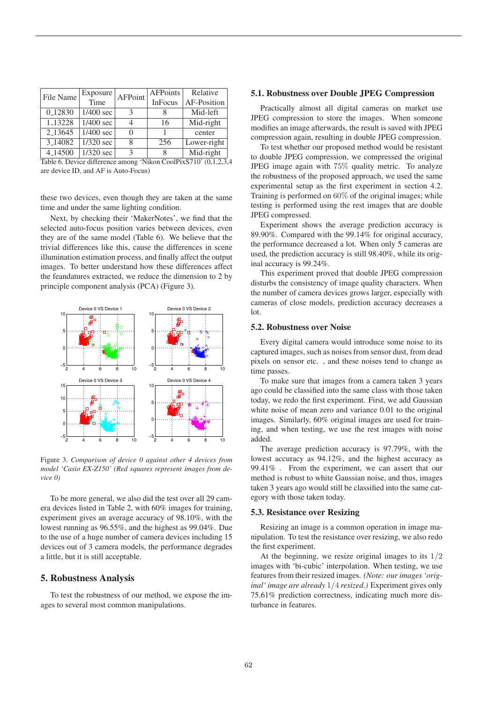| File Name | Exposure    | <b>AFPoint</b> | <b>AFPoints</b> | Relative    |
|-----------|-------------|----------------|-----------------|-------------|
|           | Time        |                | <b>InFocus</b>  | AF-Position |
| 0.12830   | $1/400$ sec | 3              |                 | Mid-left    |
| 1.13228   | $1/400$ sec |                | 16              | Mid-right   |
| 2.13645   | $1/400$ sec |                |                 | center      |
| 3.14082   | $1/320$ sec | 8              | 256             | Lower-right |
| 4 14500   | $1/320$ sec | $\mathcal{R}$  |                 | Mid-right   |

Table 6. Device difference among 'Nikon CoolPixS710' (0,1,2,3,4 are device ID, and AF is Auto-Focus)

these two devices, even though they are taken at the same time and under the same lighting condition.

Next, by checking their 'MakerNotes', we find that the selected auto-focus position varies between devices, even they are of the same model (Table 6). We believe that the trivial differences like this, cause the differences in scene illumination estimation process, and finally affect the output images. To better understand how these differences affect the feandatures extracted, we reduce the dimension to 2 by principle component analysis (PCA) (Figure 3).



Figure 3. *Comparison of device 0 against other 4 devices from model 'Casio EX-Z150' (Red squares represent images from device 0)*

To be more general, we also did the test over all 29 camera devices listed in Table 2, with 60% images for training, experiment gives an average accuracy of 98.10%, with the lowest running as 96.55%, and the highest as 99.04%. Due to the use of a huge number of camera devices including 15 devices out of 3 camera models, the performance degrades a little, but it is still acceptable.

### **5. Robustness Analysis**

To test the robustness of our method, we expose the images to several most common manipulations.

#### **5.1. Robustness over Double JPEG Compression**

Practically almost all digital cameras on market use JPEG compression to store the images. When someone modifies an image afterwards, the result is saved with JPEG compression again, resulting in double JPEG compression.

To test whether our proposed method would be resistant to double JPEG compression, we compressed the original JPEG image again with 75% quality metric. To analyze the robustness of the proposed approach, we used the same experimental setup as the first experiment in section 4.2. Training is performed on 60% of the original images; while testing is performed using the rest images that are double JPEG compressed.

Experiment shows the average prediction accuracy is 89.90%. Compared with the 99.14% for original accuracy, the performance decreased a lot. When only 5 cameras are used, the prediction accuracy is still 98.40%, while its original accuracy is 99.24%.

This experiment proved that double JPEG compression disturbs the consistency of image quality characters. When the number of camera devices grows larger, especially with cameras of close models, prediction accuracy decreases a lot.

### **5.2. Robustness over Noise**

Every digital camera would introduce some noise to its captured images, such as noises from sensor dust, from dead pixels on sensor etc. , and these noises tend to change as time passes.

To make sure that images from a camera taken 3 years ago could be classified into the same class with those taken today, we redo the first experiment. First, we add Gaussian white noise of mean zero and variance 0.01 to the original images. Similarly, 60% original images are used for training, and when testing, we use the rest images with noise added.

The average prediction accuracy is 97.79%, with the lowest accuracy as 94.12%, and the highest accuracy as 99.41% . From the experiment, we can assert that our method is robust to white Gaussian noise, and thus, images taken 3 years ago would still be classified into the same category with those taken today.

### **5.3. Resistance over Resizing**

Resizing an image is a common operation in image manipulation. To test the resistance over resizing, we also redo the first experiment.

At the beginning, we resize original images to its 1/2 images with 'bi-cubic' interpolation. When testing, we use features from their resized images. *(Note: our images 'original' image are already* 1/4 *resized.)* Experiment gives only 75.61% prediction correctness, indicating much more disturbance in features.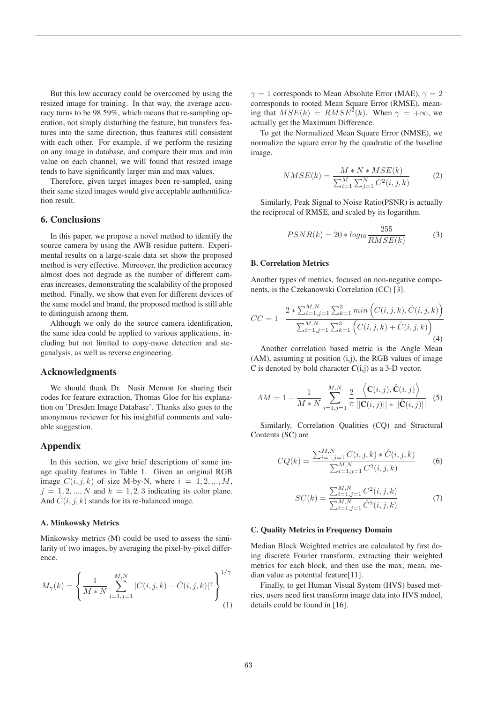But this low accuracy could be overcomed by using the resized image for training. In that way, the average accuracy turns to be 98.59%, which means that re-sampling operation, not simply disturbing the feature, but transfers features into the same direction, thus features still consistent with each other. For example, if we perform the resizing on any image in database, and compare their max and min value on each channel, we will found that resized image tends to have significantly larger min and max values.

Therefore, given target images been re-sampled, using their same sized images would give acceptable authentification result.

#### **6. Conclusions**

In this paper, we propose a novel method to identify the source camera by using the AWB residue pattern. Experimental results on a large-scale data set show the proposed method is very effective. Moreover, the prediction accuracy almost does not degrade as the number of different cameras increases, demonstrating the scalability of the proposed method. Finally, we show that even for different devices of the same model and brand, the proposed method is still able to distinguish among them.

Although we only do the source camera identification, the same idea could be applied to various applications, including but not limited to copy-move detection and steganalysis, as well as reverse engineering.

### **Acknowledgments**

We should thank Dr. Nasir Memon for sharing their codes for feature extraction, Thomas Gloe for his explanation on 'Dresden Image Database'. Thanks also goes to the anonymous reviewer for his insightful comments and valuable suggestion.

# **Appendix**

In this section, we give brief descriptions of some image quality features in Table 1. Given an original RGB image  $C(i, j, k)$  of size M-by-N, where  $i = 1, 2, ..., M$ ,  $j = 1, 2, ..., N$  and  $k = 1, 2, 3$  indicating its color plane. And  $\hat{C}(i, j, k)$  stands for its re-balanced image.

#### **A. Minkowsky Metrics**

Minkowsky metrics (M) could be used to assess the similarity of two images, by averaging the pixel-by-pixel difference.

$$
M_{\gamma}(k) = \left\{ \frac{1}{M*N} \sum_{i=1, j=1}^{M,N} |C(i, j, k) - \hat{C}(i, j, k)|^{\gamma} \right\}^{1/\gamma}
$$
(1)

 $\gamma = 1$  corresponds to Mean Absolute Error (MAE),  $\gamma = 2$ corresponds to rooted Mean Square Error (RMSE), meaning that  $MSE(k) = RMSE^2(k)$ . When  $\gamma = +\infty$ , we actually get the Maximum Difference.

To get the Normalized Mean Square Error (NMSE), we normalize the square error by the quadratic of the baseline image.

$$
NMSE(k) = \frac{M*N*MSE(k)}{\sum_{i=1}^{M} \sum_{j=1}^{N} C^{2}(i, j, k)}
$$
(2)

Similarly, Peak Signal to Noise Ratio(PSNR) is actually the reciprocal of RMSE, and scaled by its logarithm.

$$
PSNR(k) = 20 * log_{10} \frac{255}{RMSE(k)}
$$
 (3)

# **B. Correlation Metrics**

Another types of metrics, focused on non-negative components, is the Czekanowski Correlation (CC) [3].

$$
CC = 1 - \frac{2 * \sum_{i=1, j=1}^{M,N} \sum_{k=1}^{3} \min \left( C(i, j, k), \hat{C}(i, j, k) \right)}{\sum_{i=1, j=1}^{M,N} \sum_{k=1}^{3} \left( C(i, j, k) + \hat{C}(i, j, k) \right)}
$$
(4)

Another correlation based metric is the Angle Mean  $(AM)$ , assuming at position  $(i,j)$ , the RGB values of image C is denoted by bold character *C*(i,j) as a 3-D vector.

$$
AM = 1 - \frac{1}{M*N} \sum_{i=1, j=1}^{M,N} \frac{2}{\pi} \frac{\langle \mathbf{C}(i, j), \hat{\mathbf{C}}(i, j) \rangle}{||\mathbf{C}(i, j)|| + ||\hat{\mathbf{C}}(i, j)||} \quad (5)
$$

Similarly, Correlation Qualities (CQ) and Structural Contents (SC) are

$$
CQ(k) = \frac{\sum_{i=1,j=1}^{M,N} C(i,j,k) * \hat{C}(i,j,k)}{\sum_{i=1,j=1}^{M,N} C^2(i,j,k)}
$$
(6)

$$
SC(k) = \frac{\sum_{i=1,j=1}^{M,N} C^2(i,j,k)}{\sum_{i=1,j=1}^{M,N} \hat{C}^2(i,j,k)} \tag{7}
$$

#### **C. Quality Metrics in Frequency Domain**

Median Block Weighted metrics are calculated by first doing discrete Fourier transform, extracting their weighted metrics for each block, and then use the max, mean, median value as potential feature[11].

Finally, to get Human Visual System (HVS) based metrics, users need first transform image data into HVS mdoel, details could be found in [16].